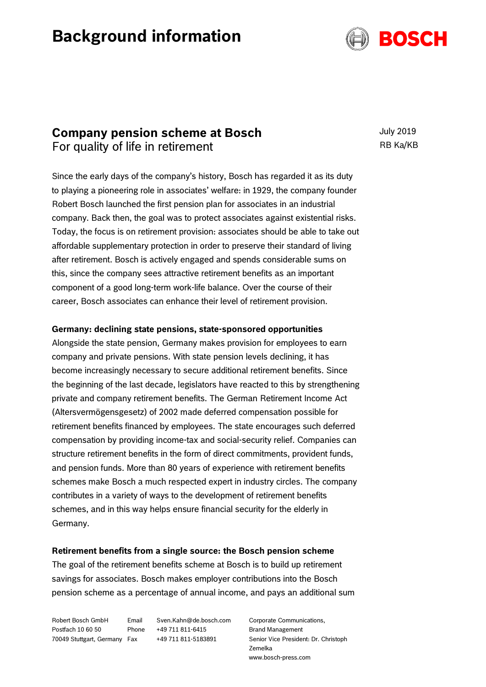# **Background information**



## **Company pension scheme at Bosch** For quality of life in retirement

July 2019 RB Ka/KB

Since the early days of the company's history, Bosch has regarded it as its duty to playing a pioneering role in associates' welfare: in 1929, the company founder Robert Bosch launched the first pension plan for associates in an industrial company. Back then, the goal was to protect associates against existential risks. Today, the focus is on retirement provision: associates should be able to take out affordable supplementary protection in order to preserve their standard of living after retirement. Bosch is actively engaged and spends considerable sums on this, since the company sees attractive retirement benefits as an important component of a good long-term work-life balance. Over the course of their career, Bosch associates can enhance their level of retirement provision.

#### **Germany: declining state pensions, state-sponsored opportunities**

Alongside the state pension, Germany makes provision for employees to earn company and private pensions. With state pension levels declining, it has become increasingly necessary to secure additional retirement benefits. Since the beginning of the last decade, legislators have reacted to this by strengthening private and company retirement benefits. The German Retirement Income Act (Altersvermögensgesetz) of 2002 made deferred compensation possible for retirement benefits financed by employees. The state encourages such deferred compensation by providing income-tax and social-security relief. Companies can structure retirement benefits in the form of direct commitments, provident funds, and pension funds. More than 80 years of experience with retirement benefits schemes make Bosch a much respected expert in industry circles. The company contributes in a variety of ways to the development of retirement benefits schemes, and in this way helps ensure financial security for the elderly in Germany.

#### **Retirement benefits from a single source: the Bosch pension scheme**

The goal of the retirement benefits scheme at Bosch is to build up retirement savings for associates. Bosch makes employer contributions into the Bosch pension scheme as a percentage of annual income, and pays an additional sum

Robert Bosch GmbH Postfach 10 60 50 70049 Stuttgart, Germany

Email Sven.Kahn@de.bosch.com Phone +49 711 811-6415 Fax +49 711 811-5183891

Corporate Communications, Brand Management Senior Vice President: Dr. Christoph Zemelka www.bosch-press.com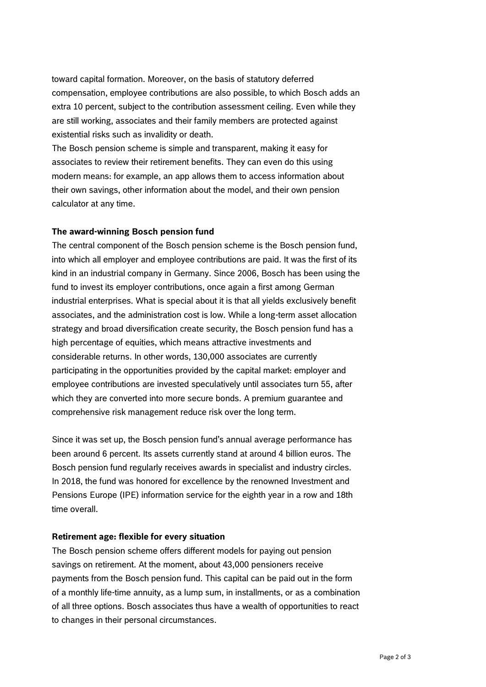toward capital formation. Moreover, on the basis of statutory deferred compensation, employee contributions are also possible, to which Bosch adds an extra 10 percent, subject to the contribution assessment ceiling. Even while they are still working, associates and their family members are protected against existential risks such as invalidity or death.

The Bosch pension scheme is simple and transparent, making it easy for associates to review their retirement benefits. They can even do this using modern means: for example, an app allows them to access information about their own savings, other information about the model, and their own pension calculator at any time.

#### **The award-winning Bosch pension fund**

The central component of the Bosch pension scheme is the Bosch pension fund, into which all employer and employee contributions are paid. It was the first of its kind in an industrial company in Germany. Since 2006, Bosch has been using the fund to invest its employer contributions, once again a first among German industrial enterprises. What is special about it is that all yields exclusively benefit associates, and the administration cost is low. While a long-term asset allocation strategy and broad diversification create security, the Bosch pension fund has a high percentage of equities, which means attractive investments and considerable returns. In other words, 130,000 associates are currently participating in the opportunities provided by the capital market: employer and employee contributions are invested speculatively until associates turn 55, after which they are converted into more secure bonds. A premium guarantee and comprehensive risk management reduce risk over the long term.

Since it was set up, the Bosch pension fund's annual average performance has been around 6 percent. Its assets currently stand at around 4 billion euros. The Bosch pension fund regularly receives awards in specialist and industry circles. In 2018, the fund was honored for excellence by the renowned Investment and Pensions Europe (IPE) information service for the eighth year in a row and 18th time overall.

#### **Retirement age: flexible for every situation**

The Bosch pension scheme offers different models for paying out pension savings on retirement. At the moment, about 43,000 pensioners receive payments from the Bosch pension fund. This capital can be paid out in the form of a monthly life-time annuity, as a lump sum, in installments, or as a combination of all three options. Bosch associates thus have a wealth of opportunities to react to changes in their personal circumstances.